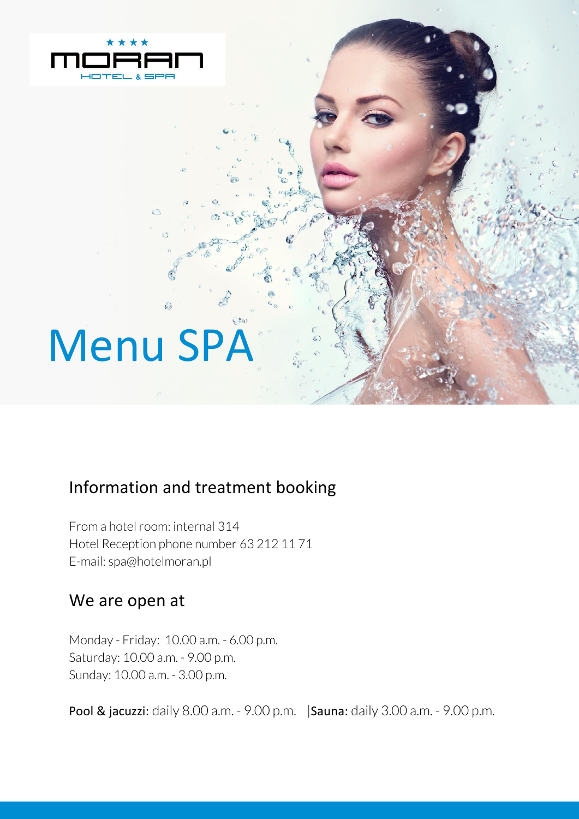

# Menu SPA

#### Information and treatment booking

From a hotel room: internal 314 Hotel Reception phone number 63 212 11 71 E-mail: spa@hotelmoran.pl

#### We are open at

Monday - Friday: 10.00 a.m. - 6.00 p.m. Saturday: 10.00 a.m. - 9.00 p.m. Sunday: 10.00 a.m. - 3.00 p.m.

Pool & jacuzzi: daily 8.00 a.m. - 9.00 p.m. |Sauna: daily 3.00 a.m. - 9.00 p.m.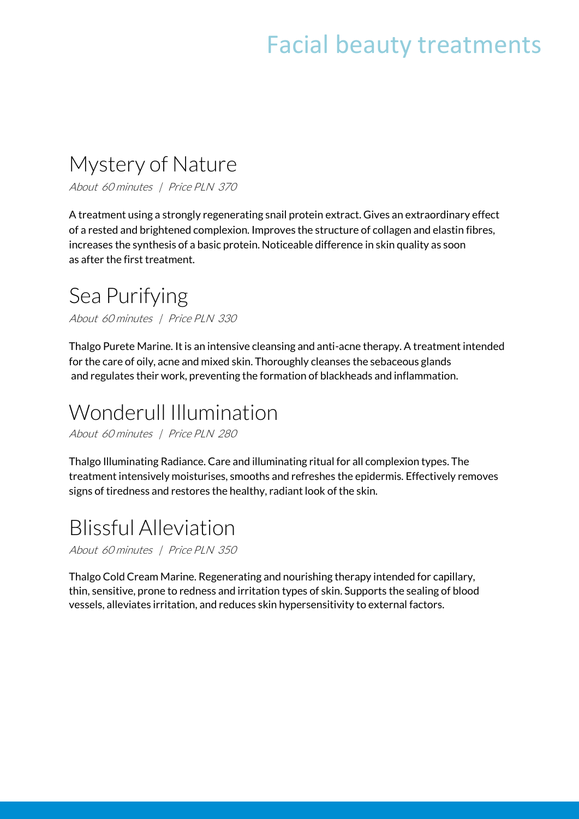# Facial beauty treatments

#### Mystery of Nature

About 60 minutes | Price PLN 370

A treatment using a strongly regenerating snail protein extract. Gives an extraordinary effect of a rested and brightened complexion. Improves the structure of collagen and elastin fibres, increases the synthesis of a basic protein. Noticeable difference in skin quality as soon as after the first treatment.

#### Sea Purifying

About 60 minutes | Price PLN 330

Thalgo Purete Marine. It is an intensive cleansing and anti-acne therapy. A treatment intended for the care of oily, acne and mixed skin. Thoroughly cleanses the sebaceous glands and regulates their work, preventing the formation of blackheads and inflammation.

#### Wonderull Illumination

About 60 minutes | Price PLN 280

Thalgo Illuminating Radiance. Care and illuminating ritual for all complexion types. The treatment intensively moisturises, smooths and refreshes the epidermis. Effectively removes signs of tiredness and restores the healthy, radiant look of the skin.

#### Blissful Alleviation

About 60 minutes | Price PLN 350

Thalgo Cold Cream Marine. Regenerating and nourishing therapy intended for capillary, thin, sensitive, prone to redness and irritation types of skin. Supports the sealing of blood vessels, alleviates irritation, and reduces skin hypersensitivity to external factors.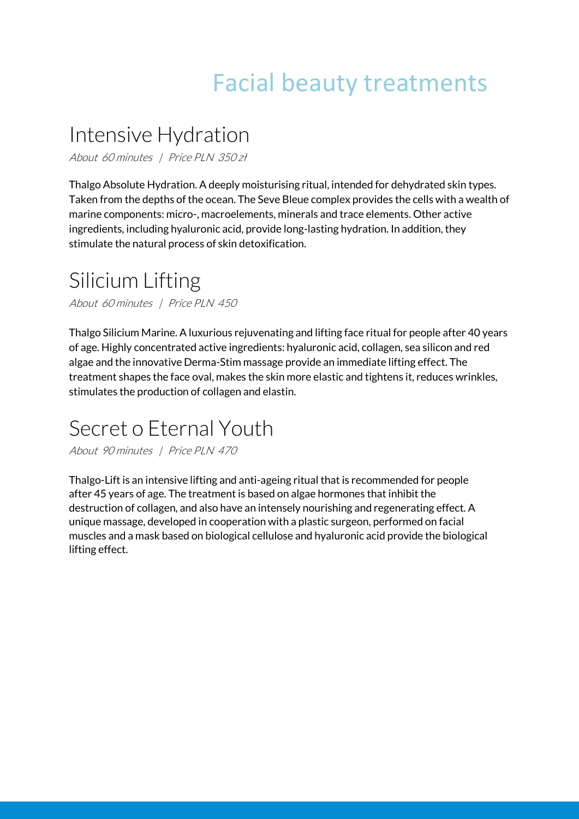# Facial beauty treatments

#### Intensive Hydration

About 60 minutes | Price PLN 350 zł

Thalgo Absolute Hydration. A deeply moisturising ritual, intended for dehydrated skin types. Taken from the depths of the ocean. The Seve Bleue complex provides the cells with a wealth of marine components: micro-, macroelements, minerals and trace elements. Other active ingredients, including hyaluronic acid, provide long-lasting hydration. In addition, they stimulate the natural process of skin detoxification.

#### Silicium Lifting

About 60 minutes | Price PLN 450

Thalgo Silicium Marine. A luxurious rejuvenating and lifting face ritual for people after 40 years of age. Highly concentrated active ingredients: hyaluronic acid, collagen, sea silicon and red algae and the innovative Derma-Stim massage provide an immediate lifting effect. The treatment shapes the face oval, makes the skin more elastic and tightens it, reduces wrinkles, stimulates the production of collagen and elastin.

#### Secret o Eternal Youth

About 90 minutes | Price PLN 470

Thalgo-Lift is an intensive lifting and anti-ageing ritual that is recommended for people after 45 years of age. The treatment is based on algae hormones that inhibit the destruction of collagen, and also have an intensely nourishing and regenerating effect. A unique massage, developed in cooperation with a plastic surgeon, performed on facial muscles and a mask based on biological cellulose and hyaluronic acid provide the biological lifting effect.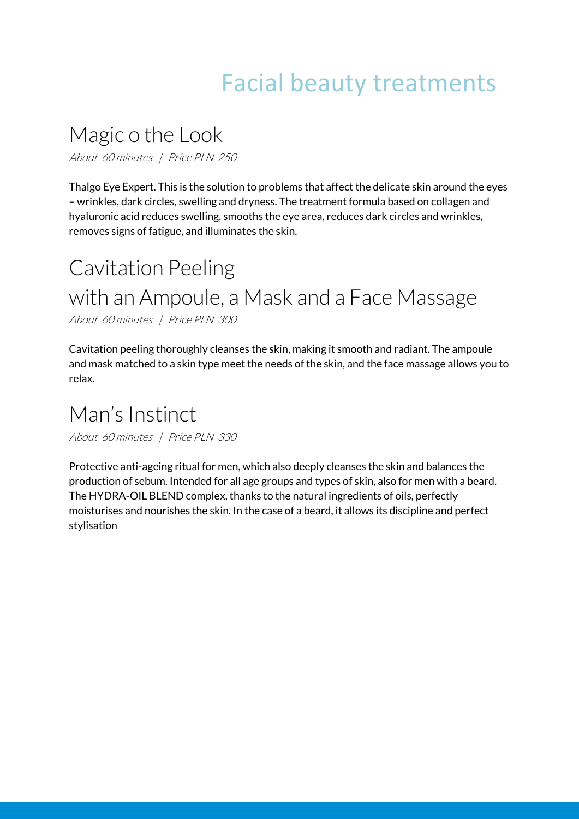# Facial beauty treatments

## Magic o the Look

About 60 minutes | Price PLN 250

Thalgo Eye Expert. This is the solution to problems that affect the delicate skin around the eyes – wrinkles, dark circles, swelling and dryness. The treatment formula based on collagen and hyaluronic acid reduces swelling, smooths the eye area, reduces dark circles and wrinkles, removes signs of fatigue, and illuminates the skin.

# Cavitation Peeling with an Ampoule, a Mask and a Face Massage

About 60 minutes | Price PLN 300

Cavitation peeling thoroughly cleanses the skin, making it smooth and radiant. The ampoule and mask matched to a skin type meet the needs of the skin, and the face massage allows you to relax.

#### Man's Instinct

About 60 minutes | Price PLN 330

Protective anti-ageing ritual for men, which also deeply cleanses the skin and balances the production of sebum. Intended for all age groups and types of skin, also for men with a beard. The HYDRA-OIL BLEND complex, thanks to the natural ingredients of oils, perfectly moisturises and nourishes the skin. In the case of a beard, it allows its discipline and perfect stylisation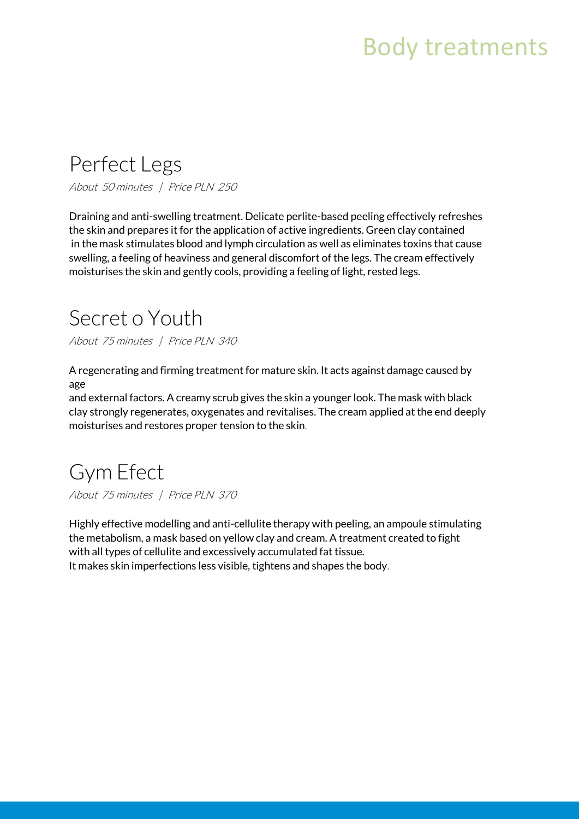# Body treatments

#### Perfect Legs

About 50 minutes | Price PLN 250

Draining and anti-swelling treatment. Delicate perlite-based peeling effectively refreshes the skin and prepares it for the application of active ingredients. Green clay contained in the mask stimulates blood and lymph circulation as well as eliminates toxins that cause swelling, a feeling of heaviness and general discomfort of the legs. The cream effectively moisturises the skin and gently cools, providing a feeling of light, rested legs.

# Secret o Youth

About 75 minutes | Price PLN 340

A regenerating and firming treatment for mature skin. It acts against damage caused by age

and external factors. A creamy scrub gives the skin a younger look. The mask with black clay strongly regenerates, oxygenates and revitalises. The cream applied at the end deeply moisturises and restores proper tension to the skin.

## Gym Efect

About 75 minutes | Price PLN 370

Highly effective modelling and anti-cellulite therapy with peeling, an ampoule stimulating the metabolism, a mask based on yellow clay and cream. A treatment created to fight with all types of cellulite and excessively accumulated fat tissue. It makes skin imperfections less visible, tightens and shapes the body.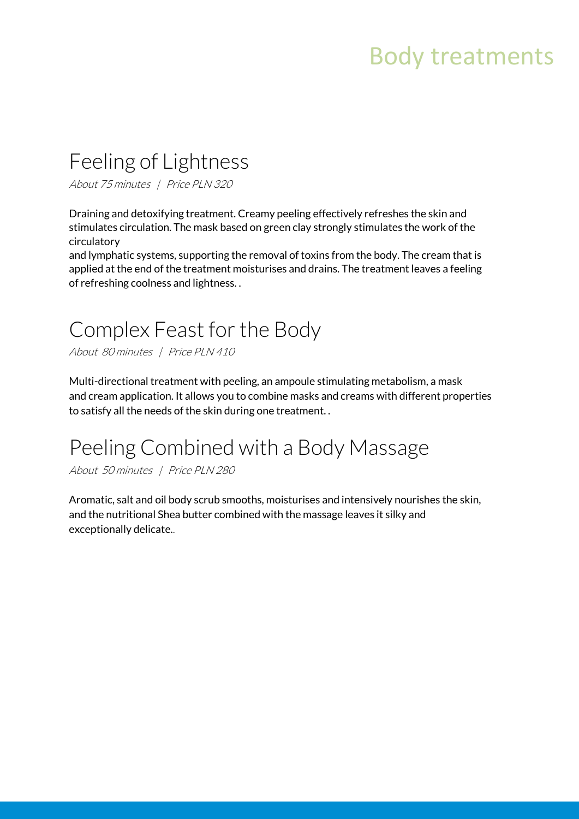# Body treatments

## Feeling of Lightness

About 75 minutes | Price PLN 320

Draining and detoxifying treatment. Creamy peeling effectively refreshes the skin and stimulates circulation. The mask based on green clay strongly stimulates the work of the circulatory

and lymphatic systems, supporting the removal of toxins from the body. The cream that is applied at the end of the treatment moisturises and drains. The treatment leaves a feeling of refreshing coolness and lightness. .

## Complex Feast for the Body

About 80 minutes | Price PLN 410

Multi-directional treatment with peeling, an ampoule stimulating metabolism, a mask and cream application. It allows you to combine masks and creams with different properties to satisfy all the needs of the skin during one treatment. .

## Peeling Combined with a Body Massage

About 50 minutes | Price PLN 280

Aromatic, salt and oil body scrub smooths, moisturises and intensively nourishes the skin, and the nutritional Shea butter combined with the massage leaves it silky and exceptionally delicate..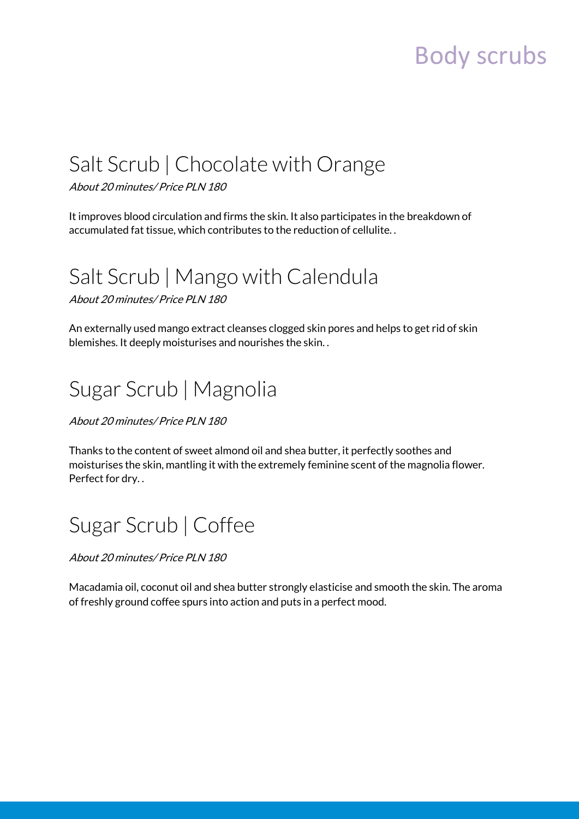# Body scrubs

## Salt Scrub | Chocolate with Orange

About 20 minutes/ Price PLN 180

It improves blood circulation and firms the skin. It also participates in the breakdown of accumulated fat tissue, which contributes to the reduction of cellulite. .

#### Salt Scrub | Mango with Calendula

About 20 minutes/ Price PLN 180

An externally used mango extract cleanses clogged skin pores and helps to get rid of skin blemishes. It deeply moisturises and nourishes the skin. .

# Sugar Scrub | Magnolia

About 20 minutes/ Price PLN 180

Thanks to the content of sweet almond oil and shea butter, it perfectly soothes and moisturises the skin, mantling it with the extremely feminine scent of the magnolia flower. Perfect for dry. .

## Sugar Scrub | Coffee

About 20 minutes/ Price PLN 180

Macadamia oil, coconut oil and shea butter strongly elasticise and smooth the skin. The aroma of freshly ground coffee spurs into action and puts in a perfect mood.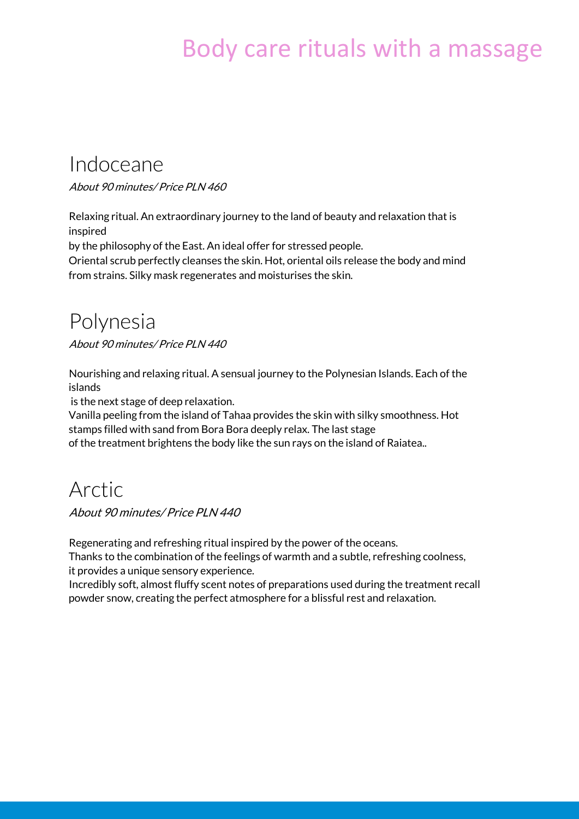# Body care rituals with a massage

#### Indoceane

About 90 minutes/ Price PLN 460

Relaxing ritual. An extraordinary journey to the land of beauty and relaxation that is inspired

by the philosophy of the East. An ideal offer for stressed people.

Oriental scrub perfectly cleanses the skin. Hot, oriental oils release the body and mind from strains. Silky mask regenerates and moisturises the skin.

#### Polynesia

About 90 minutes/ Price PLN 440

Nourishing and relaxing ritual. A sensual journey to the Polynesian Islands. Each of the islands

is the next stage of deep relaxation.

Vanilla peeling from the island of Tahaa provides the skin with silky smoothness. Hot stamps filled with sand from Bora Bora deeply relax. The last stage of the treatment brightens the body like the sun rays on the island of Raiatea..

#### Arctic

About 90 minutes/ Price PLN 440

Regenerating and refreshing ritual inspired by the power of the oceans. Thanks to the combination of the feelings of warmth and a subtle, refreshing coolness, it provides a unique sensory experience.

Incredibly soft, almost fluffy scent notes of preparations used during the treatment recall powder snow, creating the perfect atmosphere for a blissful rest and relaxation.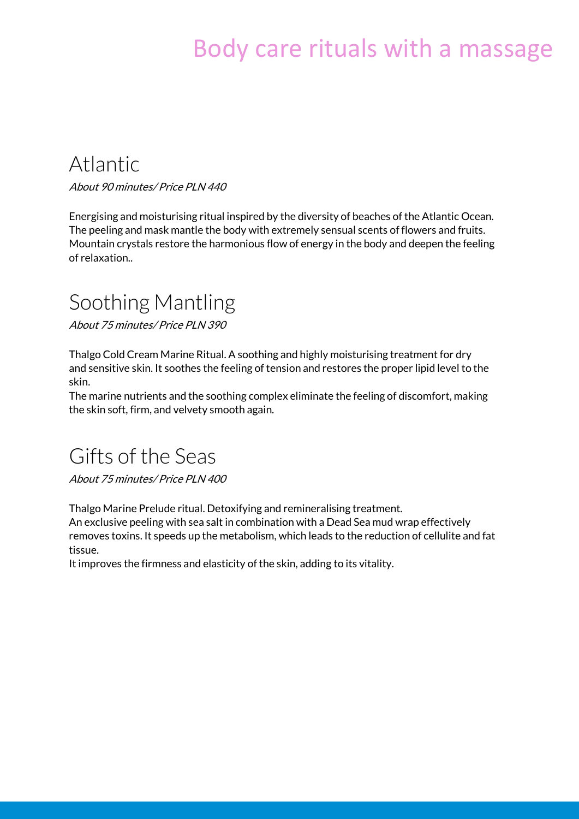# Body care rituals with a massage

#### Atlantic

About 90 minutes/ Price PLN 440

Energising and moisturising ritual inspired by the diversity of beaches of the Atlantic Ocean. The peeling and mask mantle the body with extremely sensual scents of flowers and fruits. Mountain crystals restore the harmonious flow of energy in the body and deepen the feeling of relaxation..

#### Soothing Mantling

About 75 minutes/ Price PLN 390

Thalgo Cold Cream Marine Ritual. A soothing and highly moisturising treatment for dry and sensitive skin. It soothes the feeling of tension and restores the proper lipid level to the skin.

The marine nutrients and the soothing complex eliminate the feeling of discomfort, making the skin soft, firm, and velvety smooth again.

#### Gifts of the Seas

About 75 minutes/ Price PLN 400

Thalgo Marine Prelude ritual. Detoxifying and remineralising treatment.

An exclusive peeling with sea salt in combination with a Dead Sea mud wrap effectively removes toxins. It speeds up the metabolism, which leads to the reduction of cellulite and fat tissue.

It improves the firmness and elasticity of the skin, adding to its vitality.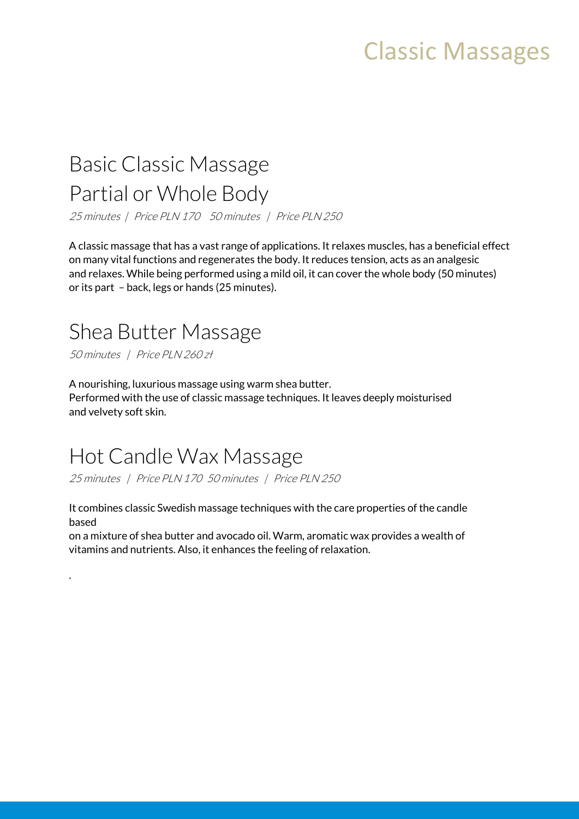# Classic Massages

#### Basic Classic Massage Partial or Whole Body

25 minutes | Price PLN 170 50 minutes | Price PLN 250

A classic massage that has a vast range of applications. It relaxes muscles, has a beneficial effect on many vital functions and regenerates the body. It reduces tension, acts as an analgesic and relaxes. While being performed using a mild oil, it can cover the whole body (50 minutes) or its part – back, legs or hands (25 minutes).

#### Shea Butter Massage

50 minutes | Price PLN 260 zł

.

A nourishing, luxurious massage using warm shea butter. Performed with the use of classic massage techniques. It leaves deeply moisturised and velvety soft skin.

#### Hot Candle Wax Massage

25 minutes | Price PLN 170 50 minutes | Price PLN 250

It combines classic Swedish massage techniques with the care properties of the candle based

on a mixture of shea butter and avocado oil. Warm, aromatic wax provides a wealth of vitamins and nutrients. Also, it enhances the feeling of relaxation.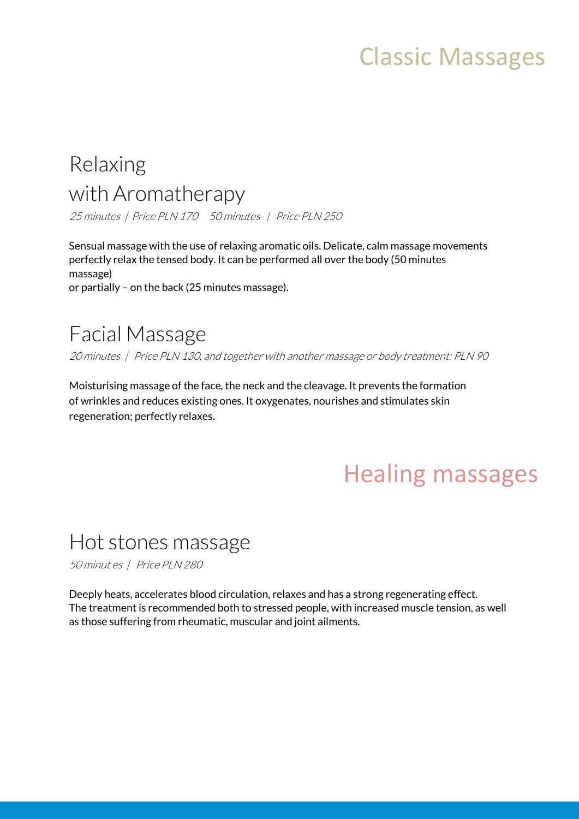# Classic Massages

## Relaxing with Aromatherapy

25 minutes | Price PLN 170 50 minutes | Price PLN 250

Sensual massage with the use of relaxing aromatic oils. Delicate, calm massage movements perfectly relax the tensed body. It can be performed all over the body (50 minutes massage) or partially – on the back (25 minutes massage).

#### Facial Massage

20 minutes | Price PLN 130, and together with another massage or body treatment: PLN 90

Moisturising massage of the face, the neck and the cleavage. It prevents the formation of wrinkles and reduces existing ones. It oxygenates, nourishes and stimulates skin regeneration; perfectly relaxes.

# Healing massages

#### Hot stones massage

50 minut es | Price PLN 280

Deeply heats, accelerates blood circulation, relaxes and has a strong regenerating effect. The treatment is recommended both to stressed people, with increased muscle tension, as well as those suffering from rheumatic, muscular and joint ailments.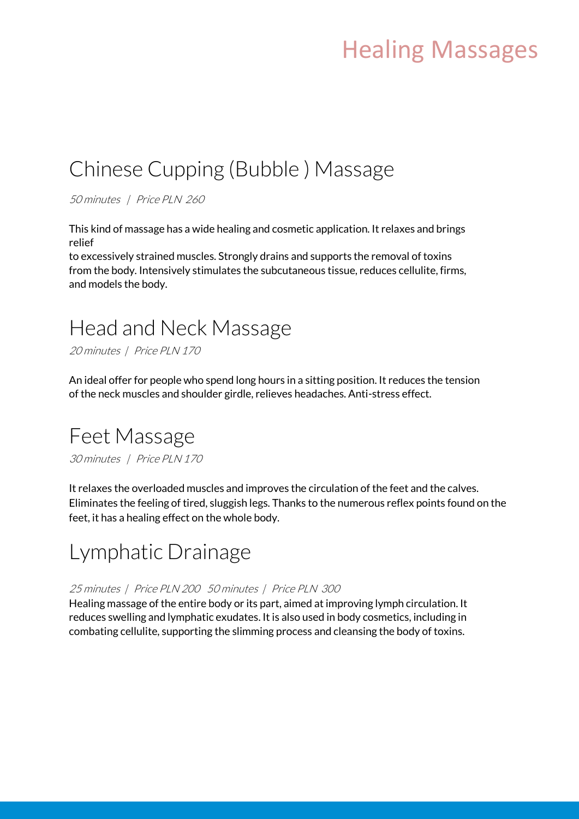# Healing Massages

#### Chinese Cupping (Bubble ) Massage

50 minutes | Price PLN 260

This kind of massage has a wide healing and cosmetic application. It relaxes and brings relief

to excessively strained muscles. Strongly drains and supports the removal of toxins from the body. Intensively stimulates the subcutaneous tissue, reduces cellulite, firms, and models the body.

#### Head and Neck Massage

20 minutes | Price PLN 170

An ideal offer for people who spend long hours in a sitting position. It reduces the tension of the neck muscles and shoulder girdle, relieves headaches. Anti-stress effect.

#### Feet Massage

30 minutes | Price PLN 170

It relaxes the overloaded muscles and improves the circulation of the feet and the calves. Eliminates the feeling of tired, sluggish legs. Thanks to the numerous reflex points found on the feet, it has a healing effect on the whole body.

#### Lymphatic Drainage

#### 25 minutes | Price PLN 200 50 minutes | Price PLN 300

Healing massage of the entire body or its part, aimed at improving lymph circulation. It reduces swelling and lymphatic exudates. It is also used in body cosmetics, including in combating cellulite, supporting the slimming process and cleansing the body of toxins.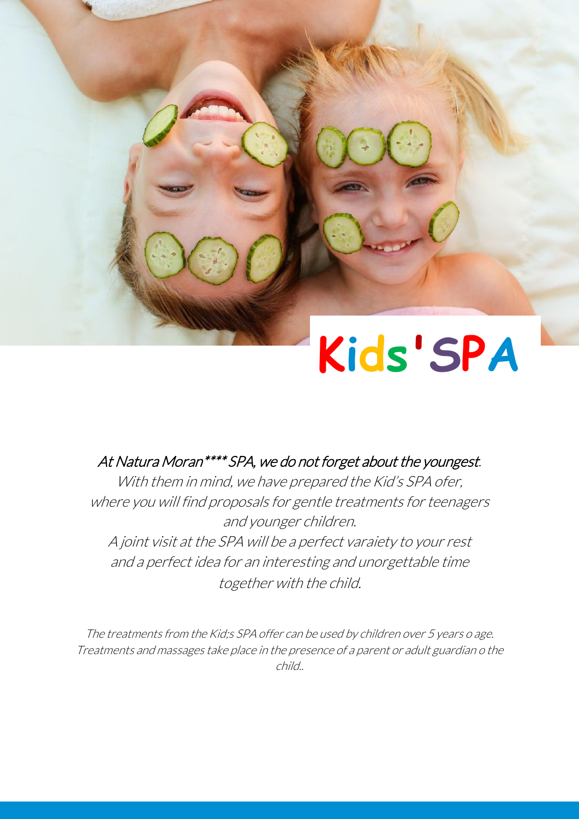# **Kids'SPA**

#### At Natura Moran\*\*\*\* SPA, we do not forget about the youngest.

With them in mind, we have prepared the Kid's SPA ofer, where you will find proposals for gentle treatments for teenagers and younger children. A joint visit at the SPA will be a perfect varaiety to your rest and a perfect idea for an interesting and unorgettable time together with the child.

The treatments from the Kid;s SPA offer can be used by children over 5 years o age. Treatments and massages take place in the presence of a parent or adult guardian o the child..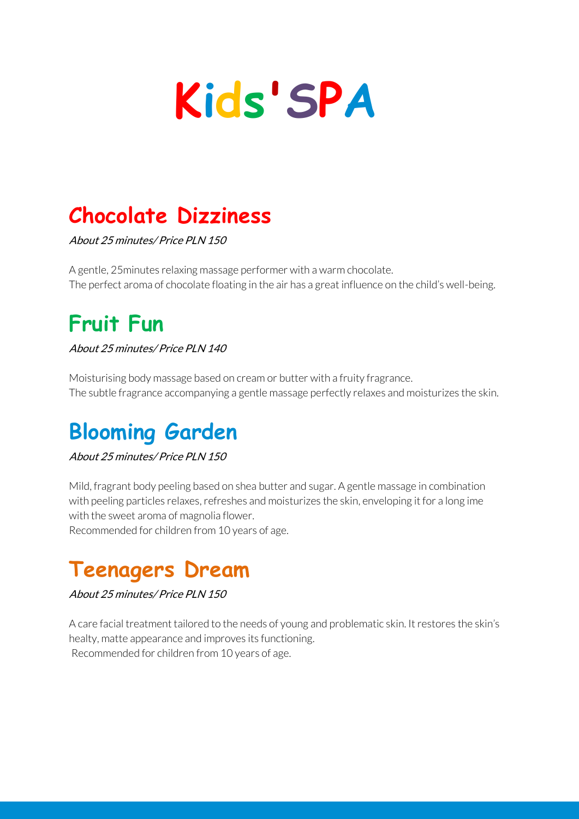# **Kids'SPA**

# **Chocolate Dizziness**

About 25 minutes/ Price PLN 150

A gentle, 25minutes relaxing massage performer with a warm chocolate. The perfect aroma of chocolate floating in the air has a great influence on the child's well-being.

# **Fruit Fun**

About 25 minutes/ Price PLN 140

Moisturising body massage based on cream or butter with a fruity fragrance. The subtle fragrance accompanying a gentle massage perfectly relaxes and moisturizes the skin.

# **Blooming Garden**

#### About 25 minutes/ Price PLN 150

Mild, fragrant body peeling based on shea butter and sugar. A gentle massage in combination with peeling particles relaxes, refreshes and moisturizes the skin, enveloping it for a long ime with the sweet aroma of magnolia flower.

Recommended for children from 10 years of age.

## **Teenagers Dream**

#### About 25 minutes/ Price PLN 150

A care facial treatment tailored to the needs of young and problematic skin. It restores the skin's healty, matte appearance and improves its functioning. Recommended for children from 10 years of age.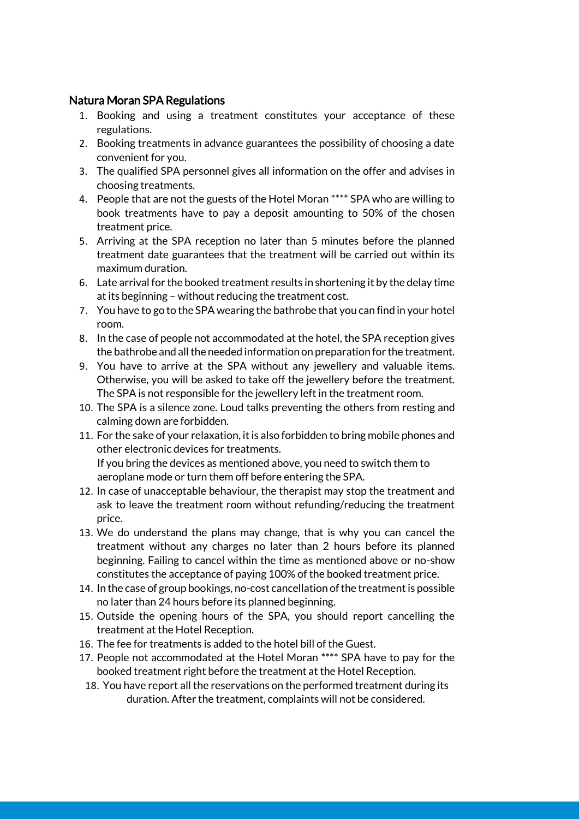#### Natura Moran SPA Regulations

- 1. Booking and using a treatment constitutes your acceptance of these regulations.
- 2. Booking treatments in advance guarantees the possibility of choosing a date convenient for you.
- 3. The qualified SPA personnel gives all information on the offer and advises in choosing treatments.
- 4. People that are not the guests of the Hotel Moran \*\*\*\* SPA who are willing to book treatments have to pay a deposit amounting to 50% of the chosen treatment price.
- 5. Arriving at the SPA reception no later than 5 minutes before the planned treatment date guarantees that the treatment will be carried out within its maximum duration.
- 6. Late arrival for the booked treatment results in shortening it by the delay time at its beginning – without reducing the treatment cost.
- 7. You have to go to the SPA wearing the bathrobe that you can find in your hotel room.
- 8. In the case of people not accommodated at the hotel, the SPA reception gives the bathrobe and all the needed information on preparation for the treatment.
- 9. You have to arrive at the SPA without any jewellery and valuable items. Otherwise, you will be asked to take off the jewellery before the treatment. The SPA is not responsible for the jewellery left in the treatment room.
- 10. The SPA is a silence zone. Loud talks preventing the others from resting and calming down are forbidden.
- 11. For the sake of your relaxation, it is also forbidden to bring mobile phones and other electronic devices for treatments. If you bring the devices as mentioned above, you need to switch them to aeroplane mode or turn them off before entering the SPA.
- 12. In case of unacceptable behaviour, the therapist may stop the treatment and ask to leave the treatment room without refunding/reducing the treatment price.
- 13. We do understand the plans may change, that is why you can cancel the treatment without any charges no later than 2 hours before its planned beginning. Failing to cancel within the time as mentioned above or no-show constitutes the acceptance of paying 100% of the booked treatment price.
- 14. In the case of group bookings, no-cost cancellation of the treatment is possible no later than 24 hours before its planned beginning.
- 15. Outside the opening hours of the SPA, you should report cancelling the treatment at the Hotel Reception.
- 16. The fee for treatments is added to the hotel bill of the Guest.
- 17. People not accommodated at the Hotel Moran \*\*\*\* SPA have to pay for the booked treatment right before the treatment at the Hotel Reception.
- 18. You have report all the reservations on the performed treatment during its duration. After the treatment, complaints will not be considered.